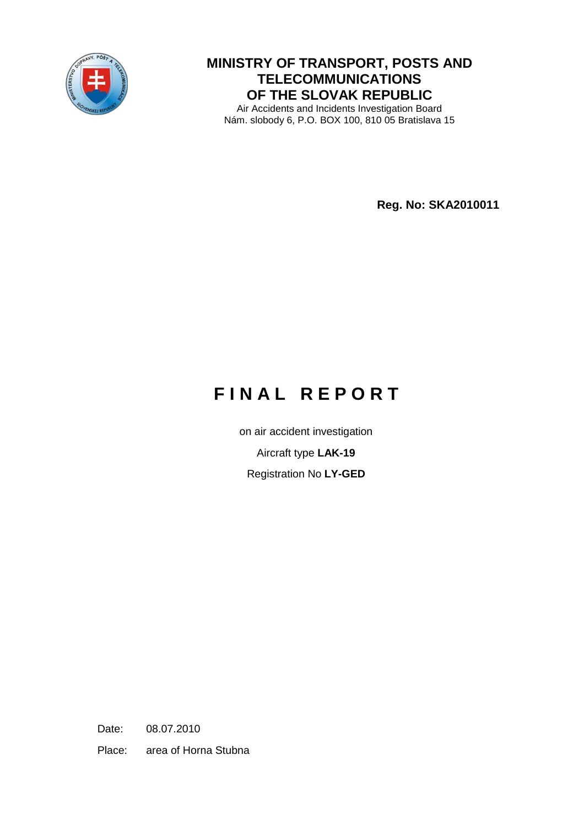

## **MINISTRY OF TRANSPORT, POSTS AND TELECOMMUNICATIONS OF THE SLOVAK REPUBLIC**

Air Accidents and Incidents Investigation Board Nám. slobody 6, P.O. BOX 100, 810 05 Bratislava 15

 **Reg. No: SKA2010011** 

# **F I N A L R E P O R T**

on air accident investigation

Aircraft type **LAK-19**

Registration No **LY-GED**

Date: 08.07.2010

Place: area of Horna Stubna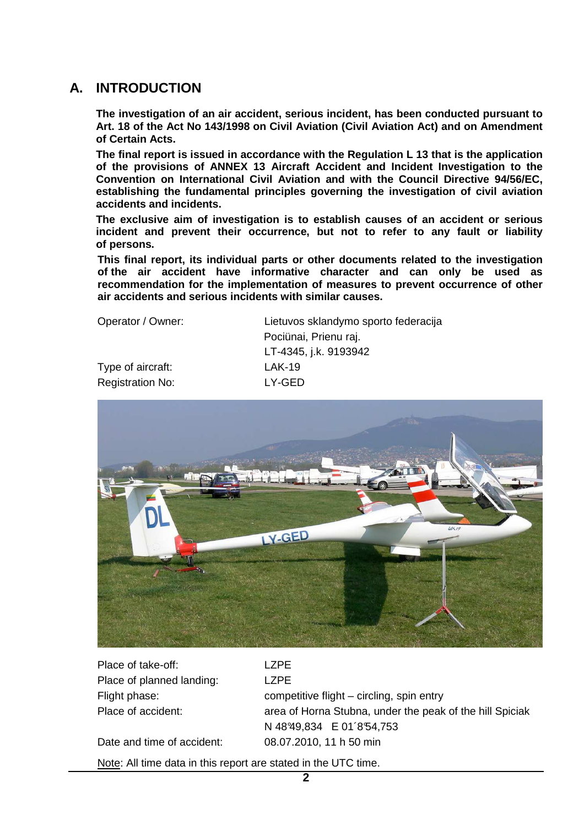## **A. INTRODUCTION**

**The investigation of an air accident, serious incident, has been conducted pursuant to Art. 18 of the Act No 143/1998 on Civil Aviation (Civil Aviation Act) and on Amendment of Certain Acts.** 

**The final report is issued in accordance with the Regulation L 13 that is the application of the provisions of ANNEX 13 Aircraft Accident and Incident Investigation to the Convention on International Civil Aviation and with the Council Directive 94/56/EC, establishing the fundamental principles governing the investigation of civil aviation accidents and incidents.** 

**The exclusive aim of investigation is to establish causes of an accident or serious incident and prevent their occurrence, but not to refer to any fault or liability of persons.** 

**This final report, its individual parts or other documents related to the investigation of the air accident have informative character and can only be used as recommendation for the implementation of measures to prevent occurrence of other air accidents and serious incidents with similar causes.** 

 Type of aircraft: LAK-19 Registration No: LY-GED

 Operator / Owner: Lietuvos sklandymo sporto federacija Pociünai, Prienu raj. LT-4345, j.k. 9193942



Place of take-off: LZPE Place of planned landing: LZPE

Flight phase: competitive flight – circling, spin entry Place of accident: area of Horna Stubna, under the peak of the hill Spiciak N 4899.834 E 01'854.753

Date and time of accident: 08.07.2010, 11 h 50 min

Note: All time data in this report are stated in the UTC time.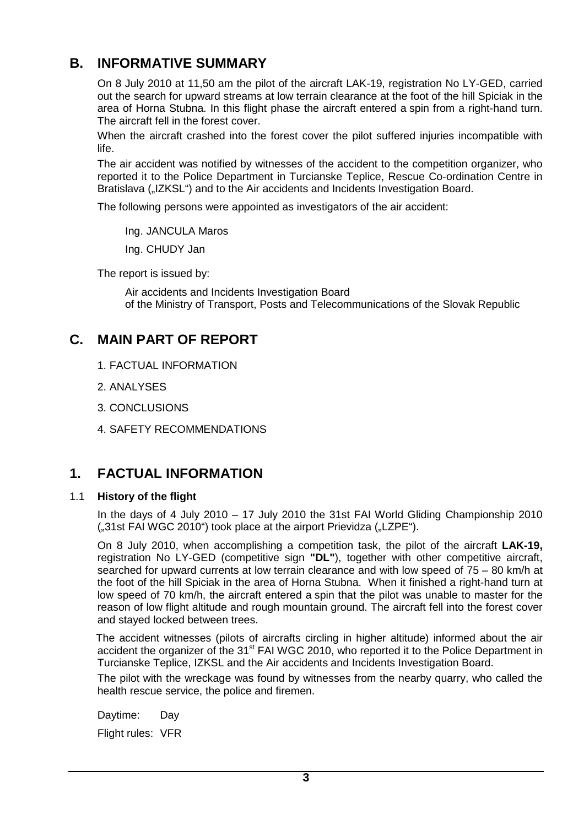# **B. INFORMATIVE SUMMARY**

 On 8 July 2010 at 11,50 am the pilot of the aircraft LAK-19, registration No LY-GED, carried out the search for upward streams at low terrain clearance at the foot of the hill Spiciak in the area of Horna Stubna. In this flight phase the aircraft entered a spin from a right-hand turn. The aircraft fell in the forest cover.

 When the aircraft crashed into the forest cover the pilot suffered injuries incompatible with life.

 The air accident was notified by witnesses of the accident to the competition organizer, who reported it to the Police Department in Turcianske Teplice, Rescue Co-ordination Centre in Bratislava ("IZKSL") and to the Air accidents and Incidents Investigation Board.

The following persons were appointed as investigators of the air accident:

Ing. JANCULA Maros

Ing. CHUDY Jan

The report is issued by:

 Air accidents and Incidents Investigation Board of the Ministry of Transport, Posts and Telecommunications of the Slovak Republic

# **C. MAIN PART OF REPORT**

- 1. FACTUAL INFORMATION
- 2. ANALYSES
- 3. CONCLUSIONS
- 4. SAFETY RECOMMENDATIONS

# **1. FACTUAL INFORMATION**

#### 1.1 **History of the flight**

 In the days of 4 July 2010 – 17 July 2010 the 31st FAI World Gliding Championship 2010 ("31st FAI WGC 2010") took place at the airport Prievidza ("LZPE").

 On 8 July 2010, when accomplishing a competition task, the pilot of the aircraft **LAK-19,** registration No LY-GED (competitive sign **"DL"**), together with other competitive aircraft, searched for upward currents at low terrain clearance and with low speed of 75 – 80 km/h at the foot of the hill Spiciak in the area of Horna Stubna. When it finished a right-hand turn at low speed of 70 km/h, the aircraft entered a spin that the pilot was unable to master for the reason of low flight altitude and rough mountain ground. The aircraft fell into the forest cover and stayed locked between trees.

The accident witnesses (pilots of aircrafts circling in higher altitude) informed about the air accident the organizer of the 31<sup>st</sup> FAI WGC 2010, who reported it to the Police Department in Turcianske Teplice, IZKSL and the Air accidents and Incidents Investigation Board.

 The pilot with the wreckage was found by witnesses from the nearby quarry, who called the health rescue service, the police and firemen.

Daytime: Day

Flight rules: VFR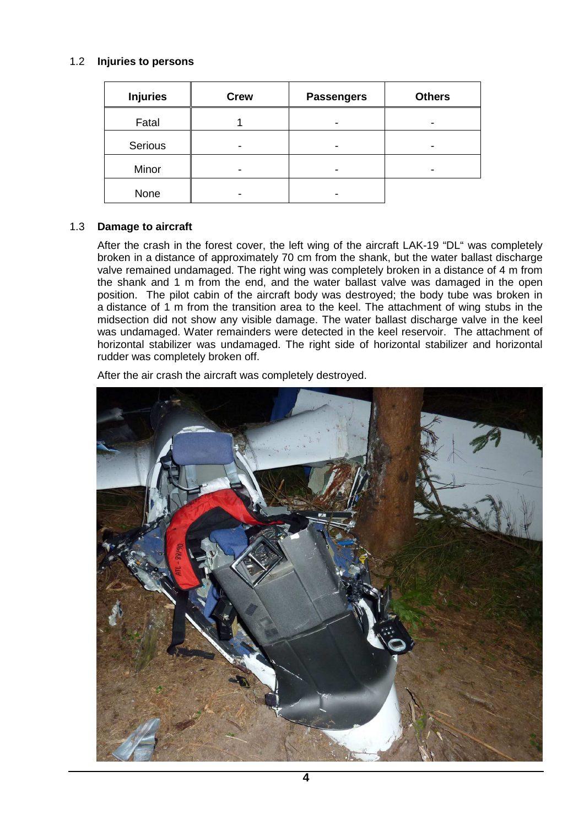#### 1.2 **Injuries to persons**

| <b>Injuries</b> | <b>Crew</b> | <b>Passengers</b> | <b>Others</b> |
|-----------------|-------------|-------------------|---------------|
| Fatal           |             | -                 |               |
| Serious         |             |                   |               |
| Minor           |             |                   |               |
| None            |             |                   |               |

#### 1.3 **Damage to aircraft**

 After the crash in the forest cover, the left wing of the aircraft LAK-19 "DL" was completely broken in a distance of approximately 70 cm from the shank, but the water ballast discharge valve remained undamaged. The right wing was completely broken in a distance of 4 m from the shank and 1 m from the end, and the water ballast valve was damaged in the open position. The pilot cabin of the aircraft body was destroyed; the body tube was broken in a distance of 1 m from the transition area to the keel. The attachment of wing stubs in the midsection did not show any visible damage. The water ballast discharge valve in the keel was undamaged. Water remainders were detected in the keel reservoir. The attachment of horizontal stabilizer was undamaged. The right side of horizontal stabilizer and horizontal rudder was completely broken off.

After the air crash the aircraft was completely destroyed.

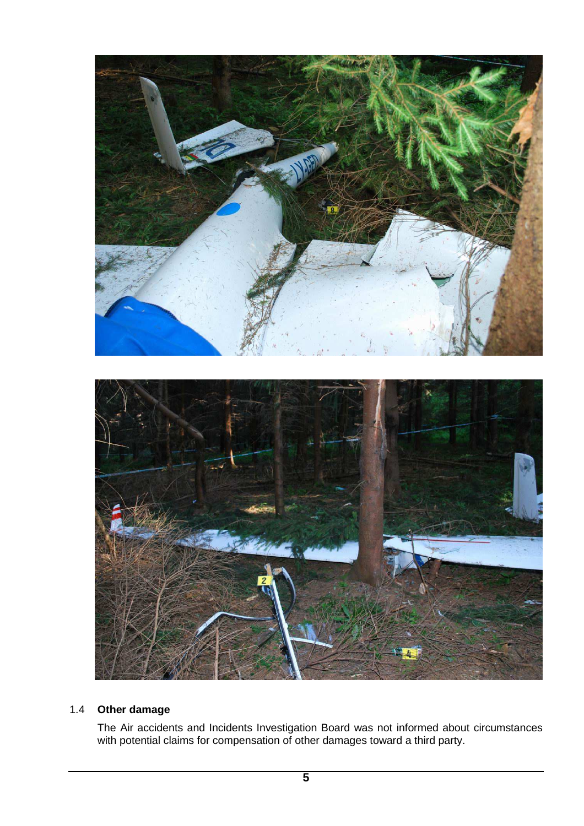

### 1.4 **Other damage**

 The Air accidents and Incidents Investigation Board was not informed about circumstances with potential claims for compensation of other damages toward a third party.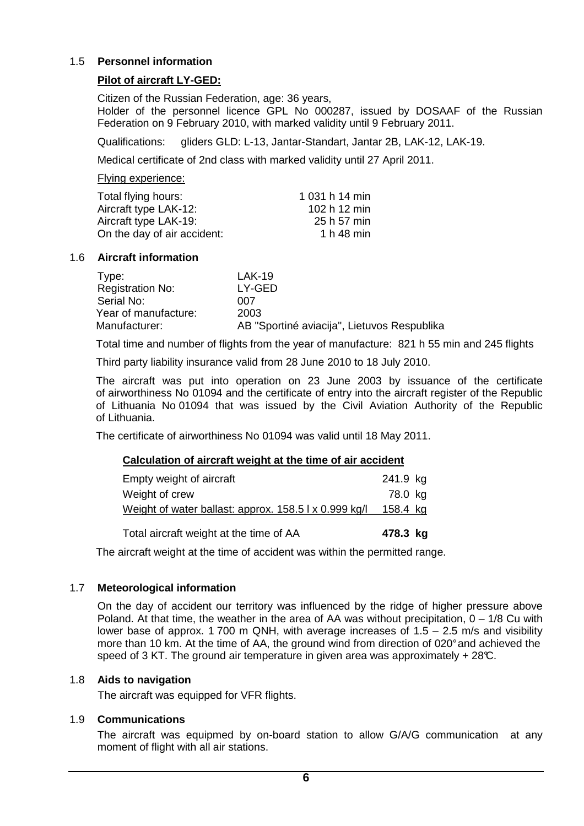#### 1.5 **Personnel information**

#### **Pilot of aircraft LY-GED:**

Citizen of the Russian Federation, age: 36 years, Holder of the personnel licence GPL No 000287, issued by DOSAAF of the Russian Federation on 9 February 2010, with marked validity until 9 February 2011.

Qualifications: gliders GLD: L-13, Jantar-Standart, Jantar 2B, LAK-12, LAK-19.

Medical certificate of 2nd class with marked validity until 27 April 2011.

#### Flying experience:

| 1 031 h 14 min |
|----------------|
| 102 h 12 min   |
| 25 h 57 min    |
| 1 h 48 min     |
|                |

#### 1.6 **Aircraft information**

| Type:                   | $LAK-19$                                    |
|-------------------------|---------------------------------------------|
| <b>Registration No:</b> | LY-GED                                      |
| Serial No:              | 007                                         |
| Year of manufacture:    | 2003                                        |
| Manufacturer:           | AB "Sportiné aviacija", Lietuvos Respublika |

Total time and number of flights from the year of manufacture: 821 h 55 min and 245 flights

Third party liability insurance valid from 28 June 2010 to 18 July 2010.

The aircraft was put into operation on 23 June 2003 by issuance of the certificate of airworthiness No 01094 and the certificate of entry into the aircraft register of the Republic of Lithuania No 01094 that was issued by the Civil Aviation Authority of the Republic of Lithuania.

The certificate of airworthiness No 01094 was valid until 18 May 2011.

#### **Calculation of aircraft weight at the time of air accident**

| Total aircraft weight at the time of AA               | 478.3 kg |
|-------------------------------------------------------|----------|
| Weight of water ballast: approx. 158.5   x 0.999 kg/l | 158.4 kg |
| Weight of crew                                        | 78.0 kg  |
| Empty weight of aircraft                              | 241.9 kg |

The aircraft weight at the time of accident was within the permitted range.

#### 1.7 **Meteorological information**

 On the day of accident our territory was influenced by the ridge of higher pressure above Poland. At that time, the weather in the area of AA was without precipitation,  $0 - 1/8$  Cu with lower base of approx. 1 700 m QNH, with average increases of  $1.5 - 2.5$  m/s and visibility more than 10 km. At the time of AA, the ground wind from direction of 020° and achieved the speed of 3 KT. The ground air temperature in given area was approximately  $+28^{\circ}$ .

#### 1.8 **Aids to navigation**

The aircraft was equipped for VFR flights.

#### 1.9 **Communications**

The aircraft was equipmed by on-board station to allow G/A/G communication at any moment of flight with all air stations.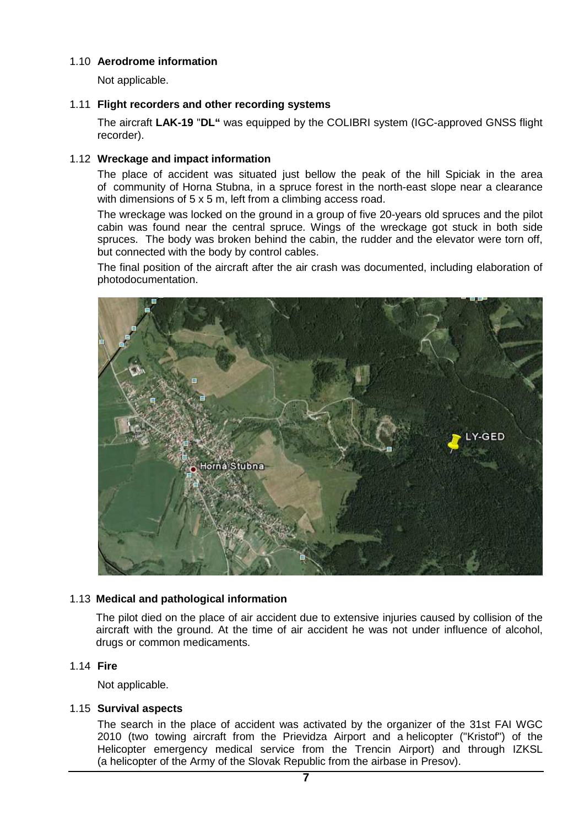#### 1.10 **Aerodrome information**

Not applicable.

#### 1.11 **Flight recorders and other recording systems**

 The aircraft **LAK-19** "**DL"** was equipped by the COLIBRI system (IGC-approved GNSS flight recorder).

#### 1.12 **Wreckage and impact information**

 The place of accident was situated just bellow the peak of the hill Spiciak in the area of community of Horna Stubna, in a spruce forest in the north-east slope near a clearance with dimensions of 5 x 5 m, left from a climbing access road.

 The wreckage was locked on the ground in a group of five 20-years old spruces and the pilot cabin was found near the central spruce. Wings of the wreckage got stuck in both side spruces. The body was broken behind the cabin, the rudder and the elevator were torn off, but connected with the body by control cables.

 The final position of the aircraft after the air crash was documented, including elaboration of photodocumentation.



#### 1.13 **Medical and pathological information**

The pilot died on the place of air accident due to extensive injuries caused by collision of the aircraft with the ground. At the time of air accident he was not under influence of alcohol, drugs or common medicaments.

#### 1.14 **Fire**

Not applicable.

#### 1.15 **Survival aspects**

The search in the place of accident was activated by the organizer of the 31st FAI WGC 2010 (two towing aircraft from the Prievidza Airport and a helicopter ("Kristof") of the Helicopter emergency medical service from the Trencin Airport) and through IZKSL (a helicopter of the Army of the Slovak Republic from the airbase in Presov).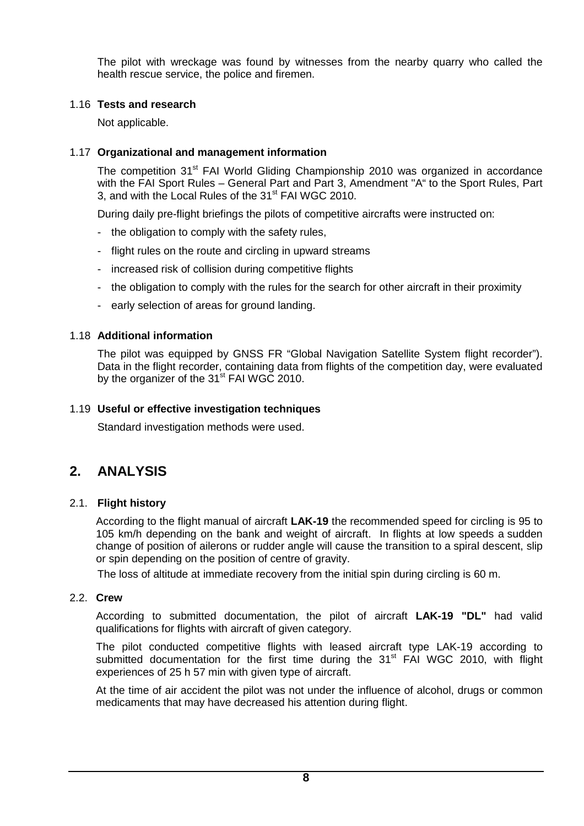The pilot with wreckage was found by witnesses from the nearby quarry who called the health rescue service, the police and firemen.

#### 1.16 **Tests and research**

Not applicable.

#### 1.17 **Organizational and management information**

The competition 31<sup>st</sup> FAI World Gliding Championship 2010 was organized in accordance with the FAI Sport Rules – General Part and Part 3, Amendment "A" to the Sport Rules, Part 3, and with the Local Rules of the 31<sup>st</sup> FAI WGC 2010.

During daily pre-flight briefings the pilots of competitive aircrafts were instructed on:

- the obligation to comply with the safety rules,
- flight rules on the route and circling in upward streams
- increased risk of collision during competitive flights
- the obligation to comply with the rules for the search for other aircraft in their proximity
- early selection of areas for ground landing.

#### 1.18 **Additional information**

The pilot was equipped by GNSS FR "Global Navigation Satellite System flight recorder"). Data in the flight recorder, containing data from flights of the competition day, were evaluated by the organizer of the 31<sup>st</sup> FAI WGC 2010.

#### 1.19 **Useful or effective investigation techniques**

Standard investigation methods were used.

# **2. ANALYSIS**

#### 2.1. **Flight history**

According to the flight manual of aircraft **LAK-19** the recommended speed for circling is 95 to 105 km/h depending on the bank and weight of aircraft. In flights at low speeds a sudden change of position of ailerons or rudder angle will cause the transition to a spiral descent, slip or spin depending on the position of centre of gravity.

The loss of altitude at immediate recovery from the initial spin during circling is 60 m.

#### 2.2. **Crew**

According to submitted documentation, the pilot of aircraft **LAK-19 "DL"** had valid qualifications for flights with aircraft of given category.

The pilot conducted competitive flights with leased aircraft type LAK-19 according to submitted documentation for the first time during the 31<sup>st</sup> FAI WGC 2010, with flight experiences of 25 h 57 min with given type of aircraft.

At the time of air accident the pilot was not under the influence of alcohol, drugs or common medicaments that may have decreased his attention during flight.